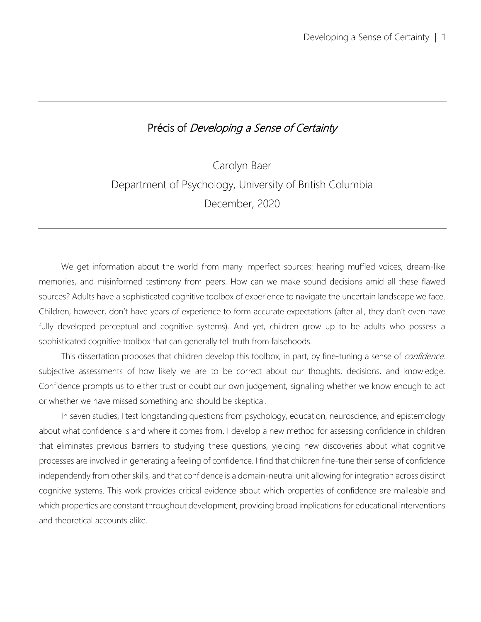# Précis of Developing a Sense of Certainty

Carolyn Baer Department of Psychology, University of British Columbia December, 2020

We get information about the world from many imperfect sources: hearing muffled voices, dream-like memories, and misinformed testimony from peers. How can we make sound decisions amid all these flawed sources? Adults have a sophisticated cognitive toolbox of experience to navigate the uncertain landscape we face. Children, however, don't have years of experience to form accurate expectations (after all, they don't even have fully developed perceptual and cognitive systems). And yet, children grow up to be adults who possess a sophisticated cognitive toolbox that can generally tell truth from falsehoods.

This dissertation proposes that children develop this toolbox, in part, by fine-tuning a sense of *confidence*. subjective assessments of how likely we are to be correct about our thoughts, decisions, and knowledge. Confidence prompts us to either trust or doubt our own judgement, signalling whether we know enough to act or whether we have missed something and should be skeptical.

In seven studies, I test longstanding questions from psychology, education, neuroscience, and epistemology about what confidence is and where it comes from. I develop a new method for assessing confidence in children that eliminates previous barriers to studying these questions, yielding new discoveries about what cognitive processes are involved in generating a feeling of confidence. I find that children fine-tune their sense of confidence independently from other skills, and that confidence is a domain-neutral unit allowing for integration across distinct cognitive systems. This work provides critical evidence about which properties of confidence are malleable and which properties are constant throughout development, providing broad implications for educational interventions and theoretical accounts alike.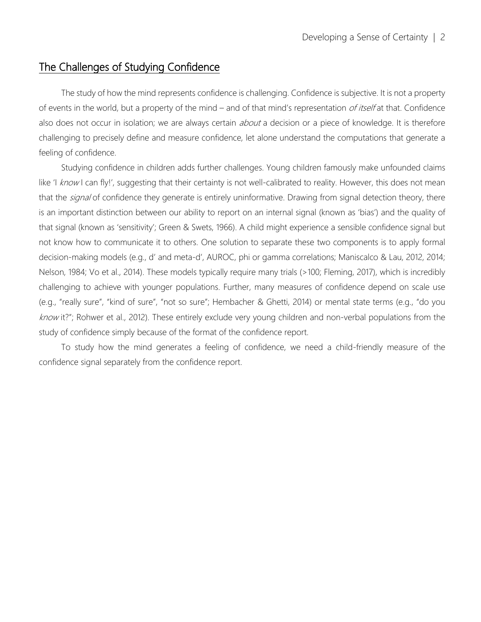# The Challenges of Studying Confidence

The study of how the mind represents confidence is challenging. Confidence is subjective. It is not a property of events in the world, but a property of the mind – and of that mind's representation *of itself* at that. Confidence also does not occur in isolation; we are always certain *about* a decision or a piece of knowledge. It is therefore challenging to precisely define and measure confidence, let alone understand the computations that generate a feeling of confidence.

Studying confidence in children adds further challenges. Young children famously make unfounded claims like 'I know I can fly!', suggesting that their certainty is not well-calibrated to reality. However, this does not mean that the *signal* of confidence they generate is entirely uninformative. Drawing from signal detection theory, there is an important distinction between our ability to report on an internal signal (known as 'bias') and the quality of that signal (known as 'sensitivity'; Green & Swets, 1966). A child might experience a sensible confidence signal but not know how to communicate it to others. One solution to separate these two components is to apply formal decision-making models (e.g., d' and meta-d', AUROC, phi or gamma correlations; Maniscalco & Lau, 2012, 2014; Nelson, 1984; Vo et al., 2014). These models typically require many trials (>100; Fleming, 2017), which is incredibly challenging to achieve with younger populations. Further, many measures of confidence depend on scale use (e.g., "really sure", "kind of sure", "not so sure"; Hembacher & Ghetti, 2014) or mental state terms (e.g., "do you know it?"; Rohwer et al., 2012). These entirely exclude very young children and non-verbal populations from the study of confidence simply because of the format of the confidence report.

To study how the mind generates a feeling of confidence, we need a child-friendly measure of the confidence signal separately from the confidence report.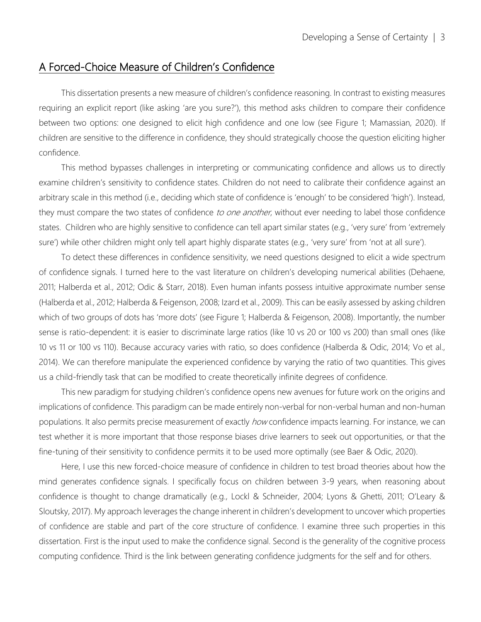## A Forced-Choice Measure of Children's Confidence

This dissertation presents a new measure of children's confidence reasoning. In contrast to existing measures requiring an explicit report (like asking 'are you sure?'), this method asks children to compare their confidence between two options: one designed to elicit high confidence and one low (see Figure 1; Mamassian, 2020). If children are sensitive to the difference in confidence, they should strategically choose the question eliciting higher confidence.

This method bypasses challenges in interpreting or communicating confidence and allows us to directly examine children's sensitivity to confidence states. Children do not need to calibrate their confidence against an arbitrary scale in this method (i.e., deciding which state of confidence is 'enough' to be considered 'high'). Instead, they must compare the two states of confidence to one another, without ever needing to label those confidence states. Children who are highly sensitive to confidence can tell apart similar states (e.g., 'very sure' from 'extremely sure') while other children might only tell apart highly disparate states (e.g., 'very sure' from 'not at all sure').

To detect these differences in confidence sensitivity, we need questions designed to elicit a wide spectrum of confidence signals. I turned here to the vast literature on children's developing numerical abilities (Dehaene, 2011; Halberda et al., 2012; Odic & Starr, 2018). Even human infants possess intuitive approximate number sense (Halberda et al., 2012; Halberda & Feigenson, 2008; Izard et al., 2009). This can be easily assessed by asking children which of two groups of dots has 'more dots' (see Figure 1; Halberda & Feigenson, 2008). Importantly, the number sense is ratio-dependent: it is easier to discriminate large ratios (like 10 vs 20 or 100 vs 200) than small ones (like 10 vs 11 or 100 vs 110). Because accuracy varies with ratio, so does confidence (Halberda & Odic, 2014; Vo et al., 2014). We can therefore manipulate the experienced confidence by varying the ratio of two quantities. This gives us a child-friendly task that can be modified to create theoretically infinite degrees of confidence.

This new paradigm for studying children's confidence opens new avenues for future work on the origins and implications of confidence. This paradigm can be made entirely non-verbal for non-verbal human and non-human populations. It also permits precise measurement of exactly how confidence impacts learning. For instance, we can test whether it is more important that those response biases drive learners to seek out opportunities, or that the fine-tuning of their sensitivity to confidence permits it to be used more optimally (see Baer & Odic, 2020).

Here, I use this new forced-choice measure of confidence in children to test broad theories about how the mind generates confidence signals. I specifically focus on children between 3-9 years, when reasoning about confidence is thought to change dramatically (e.g., Lockl & Schneider, 2004; Lyons & Ghetti, 2011; O'Leary & Sloutsky, 2017). My approach leverages the change inherent in children's development to uncover which properties of confidence are stable and part of the core structure of confidence. I examine three such properties in this dissertation. First is the input used to make the confidence signal. Second is the generality of the cognitive process computing confidence. Third is the link between generating confidence judgments for the self and for others.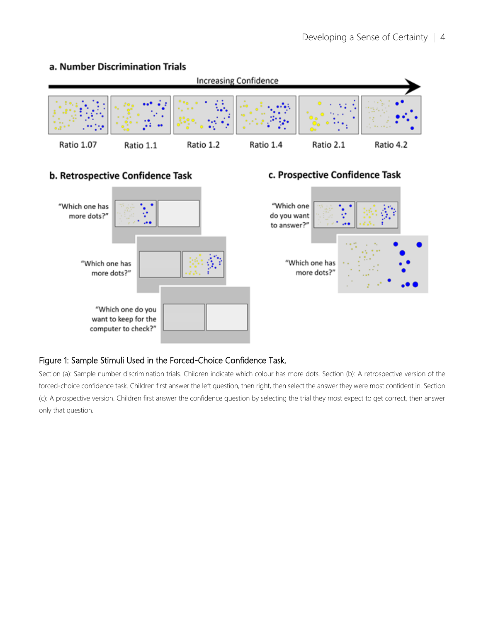#### a. Number Discrimination Trials



### b. Retrospective Confidence Task



### c. Prospective Confidence Task



#### Figure 1: Sample Stimuli Used in the Forced-Choice Confidence Task.

Section (a): Sample number discrimination trials. Children indicate which colour has more dots. Section (b): A retrospective version of the forced-choice confidence task. Children first answer the left question, then right, then select the answer they were most confident in. Section (c): A prospective version. Children first answer the confidence question by selecting the trial they most expect to get correct, then answer only that question.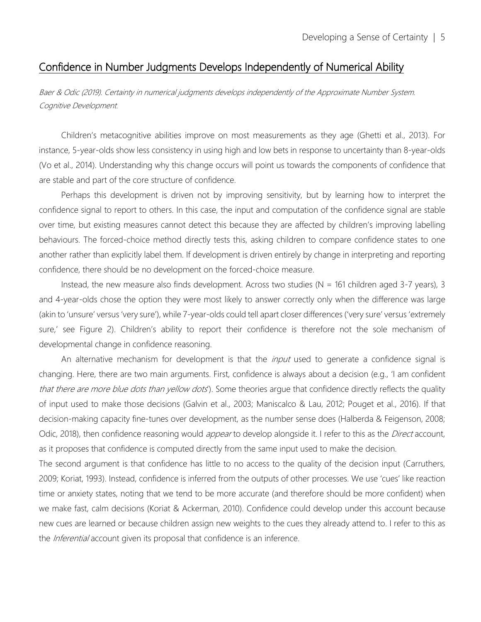## Confidence in Number Judgments Develops Independently of Numerical Ability

Baer & Odic (2019). Certainty in numerical judgments develops independently of the Approximate Number System. Cognitive Development.

Children's metacognitive abilities improve on most measurements as they age (Ghetti et al., 2013). For instance, 5-year-olds show less consistency in using high and low bets in response to uncertainty than 8-year-olds (Vo et al., 2014). Understanding why this change occurs will point us towards the components of confidence that are stable and part of the core structure of confidence.

Perhaps this development is driven not by improving sensitivity, but by learning how to interpret the confidence signal to report to others. In this case, the input and computation of the confidence signal are stable over time, but existing measures cannot detect this because they are affected by children's improving labelling behaviours. The forced-choice method directly tests this, asking children to compare confidence states to one another rather than explicitly label them. If development is driven entirely by change in interpreting and reporting confidence, there should be no development on the forced-choice measure.

Instead, the new measure also finds development. Across two studies ( $N = 161$  children aged 3-7 years), 3 and 4-year-olds chose the option they were most likely to answer correctly only when the difference was large (akin to 'unsure' versus 'very sure'), while 7-year-olds could tell apart closer differences ('very sure' versus 'extremely sure,' see Figure 2). Children's ability to report their confidence is therefore not the sole mechanism of developmental change in confidence reasoning.

An alternative mechanism for development is that the *input* used to generate a confidence signal is changing. Here, there are two main arguments. First, confidence is always about a decision (e.g., 'I am confident that there are more blue dots than yellow dots'). Some theories argue that confidence directly reflects the quality of input used to make those decisions (Galvin et al., 2003; Maniscalco & Lau, 2012; Pouget et al., 2016). If that decision-making capacity fine-tunes over development, as the number sense does (Halberda & Feigenson, 2008; Odic, 2018), then confidence reasoning would *appear* to develop alongside it. I refer to this as the *Direct* account, as it proposes that confidence is computed directly from the same input used to make the decision.

The second argument is that confidence has little to no access to the quality of the decision input (Carruthers, 2009; Koriat, 1993). Instead, confidence is inferred from the outputs of other processes. We use 'cues' like reaction time or anxiety states, noting that we tend to be more accurate (and therefore should be more confident) when we make fast, calm decisions (Koriat & Ackerman, 2010). Confidence could develop under this account because new cues are learned or because children assign new weights to the cues they already attend to. I refer to this as the *Inferential* account given its proposal that confidence is an inference.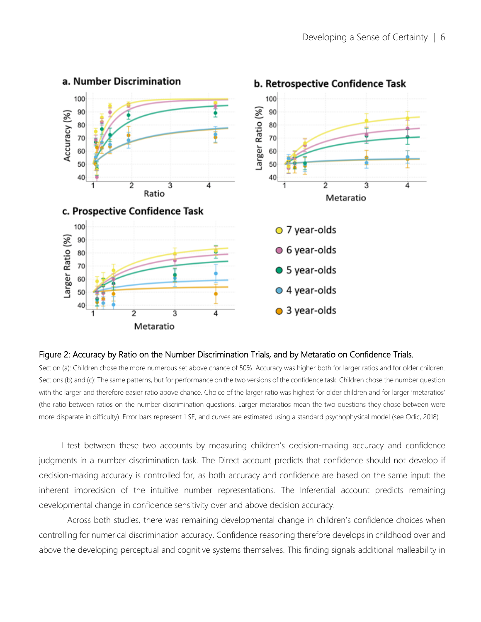

#### Figure 2: Accuracy by Ratio on the Number Discrimination Trials, and by Metaratio on Confidence Trials.

Section (a): Children chose the more numerous set above chance of 50%. Accuracy was higher both for larger ratios and for older children. Sections (b) and (c): The same patterns, but for performance on the two versions of the confidence task. Children chose the number question with the larger and therefore easier ratio above chance. Choice of the larger ratio was highest for older children and for larger 'metaratios' (the ratio between ratios on the number discrimination questions. Larger metaratios mean the two questions they chose between were more disparate in difficulty). Error bars represent 1 SE, and curves are estimated using a standard psychophysical model (see Odic, 2018).

I test between these two accounts by measuring children's decision-making accuracy and confidence judgments in a number discrimination task. The Direct account predicts that confidence should not develop if decision-making accuracy is controlled for, as both accuracy and confidence are based on the same input: the inherent imprecision of the intuitive number representations. The Inferential account predicts remaining developmental change in confidence sensitivity over and above decision accuracy.

Across both studies, there was remaining developmental change in children's confidence choices when controlling for numerical discrimination accuracy. Confidence reasoning therefore develops in childhood over and above the developing perceptual and cognitive systems themselves. This finding signals additional malleability in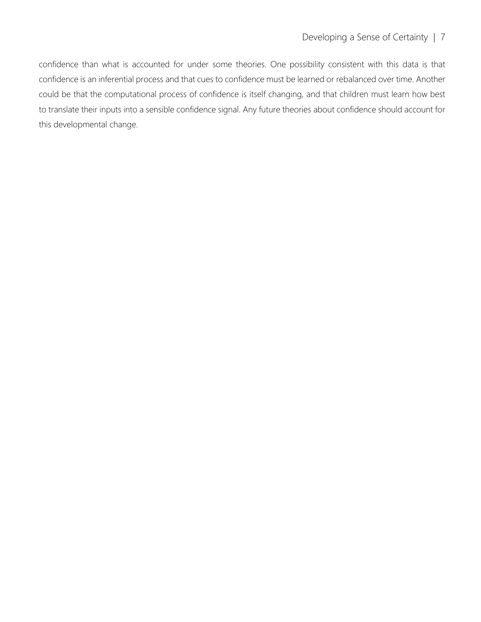confidence than what is accounted for under some theories. One possibility consistent with this data is that confidence is an inferential process and that cues to confidence must be learned or rebalanced over time. Another could be that the computational process of confidence is itself changing, and that children must learn how best to translate their inputs into a sensible confidence signal. Any future theories about confidence should account for this developmental change.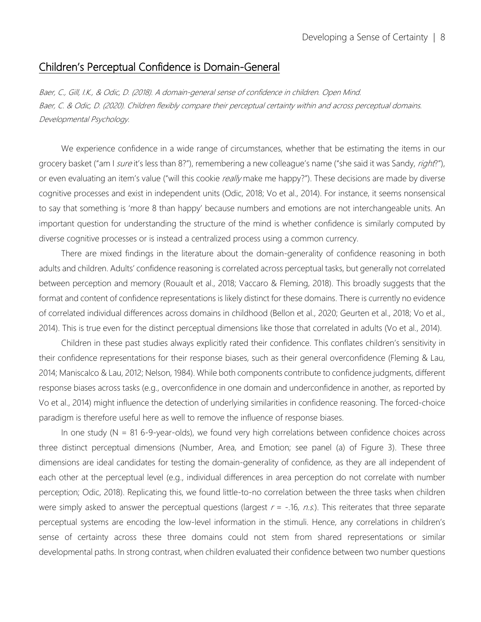### Children's Perceptual Confidence is Domain-General

Baer, C., Gill, I.K., & Odic, D. (2018). A domain-general sense of confidence in children. Open Mind. Baer, C. & Odic, D. (2020). Children flexibly compare their perceptual certainty within and across perceptual domains. Developmental Psychology.

We experience confidence in a wide range of circumstances, whether that be estimating the items in our grocery basket ("am I sure it's less than 8?"), remembering a new colleague's name ("she said it was Sandy, right?"), or even evaluating an item's value ("will this cookie really make me happy?"). These decisions are made by diverse cognitive processes and exist in independent units (Odic, 2018; Vo et al., 2014). For instance, it seems nonsensical to say that something is 'more 8 than happy' because numbers and emotions are not interchangeable units. An important question for understanding the structure of the mind is whether confidence is similarly computed by diverse cognitive processes or is instead a centralized process using a common currency.

There are mixed findings in the literature about the domain-generality of confidence reasoning in both adults and children. Adults' confidence reasoning is correlated across perceptual tasks, but generally not correlated between perception and memory (Rouault et al., 2018; Vaccaro & Fleming, 2018). This broadly suggests that the format and content of confidence representations is likely distinct for these domains. There is currently no evidence of correlated individual differences across domains in childhood (Bellon et al., 2020; Geurten et al., 2018; Vo et al., 2014). This is true even for the distinct perceptual dimensions like those that correlated in adults (Vo et al., 2014).

Children in these past studies always explicitly rated their confidence. This conflates children's sensitivity in their confidence representations for their response biases, such as their general overconfidence (Fleming & Lau, 2014; Maniscalco & Lau, 2012; Nelson, 1984). While both components contribute to confidence judgments, different response biases across tasks (e.g., overconfidence in one domain and underconfidence in another, as reported by Vo et al., 2014) might influence the detection of underlying similarities in confidence reasoning. The forced-choice paradigm is therefore useful here as well to remove the influence of response biases.

In one study ( $N = 816 - 9$ -year-olds), we found very high correlations between confidence choices across three distinct perceptual dimensions (Number, Area, and Emotion; see panel (a) of Figure 3). These three dimensions are ideal candidates for testing the domain-generality of confidence, as they are all independent of each other at the perceptual level (e.g., individual differences in area perception do not correlate with number perception; Odic, 2018). Replicating this, we found little-to-no correlation between the three tasks when children were simply asked to answer the perceptual questions (largest  $r = -.16$ , n.s.). This reiterates that three separate perceptual systems are encoding the low-level information in the stimuli. Hence, any correlations in children's sense of certainty across these three domains could not stem from shared representations or similar developmental paths. In strong contrast, when children evaluated their confidence between two number questions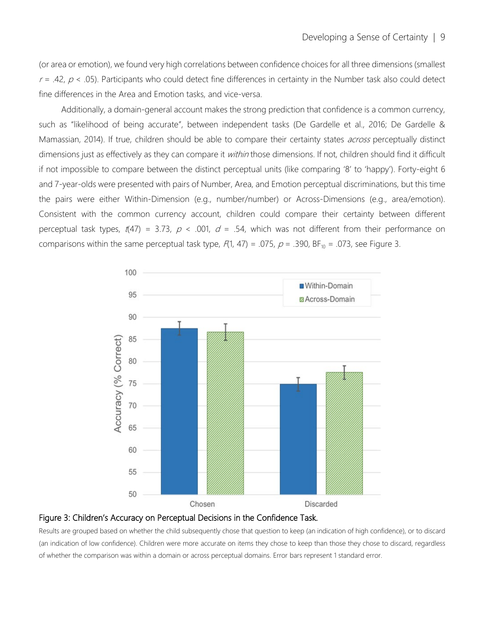(or area or emotion), we found very high correlations between confidence choices for all three dimensions (smallest  $r = .42$ ,  $p < .05$ ). Participants who could detect fine differences in certainty in the Number task also could detect fine differences in the Area and Emotion tasks, and vice-versa.

Additionally, a domain-general account makes the strong prediction that confidence is a common currency, such as "likelihood of being accurate", between independent tasks (De Gardelle et al., 2016; De Gardelle & Mamassian, 2014). If true, children should be able to compare their certainty states *across* perceptually distinct dimensions just as effectively as they can compare it *within* those dimensions. If not, children should find it difficult if not impossible to compare between the distinct perceptual units (like comparing '8' to 'happy'). Forty-eight 6 and 7-year-olds were presented with pairs of Number, Area, and Emotion perceptual discriminations, but this time the pairs were either Within-Dimension (e.g., number/number) or Across-Dimensions (e.g., area/emotion). Consistent with the common currency account, children could compare their certainty between different perceptual task types,  $t(47) = 3.73$ ,  $p < .001$ ,  $d = .54$ , which was not different from their performance on comparisons within the same perceptual task type,  $F(1, 47) = .075$ ,  $p = .390$ , BF<sub>10</sub> = .073, see Figure 3.



#### Figure 3: Children's Accuracy on Perceptual Decisions in the Confidence Task.

Results are grouped based on whether the child subsequently chose that question to keep (an indication of high confidence), or to discard (an indication of low confidence). Children were more accurate on items they chose to keep than those they chose to discard, regardless of whether the comparison was within a domain or across perceptual domains. Error bars represent 1 standard error.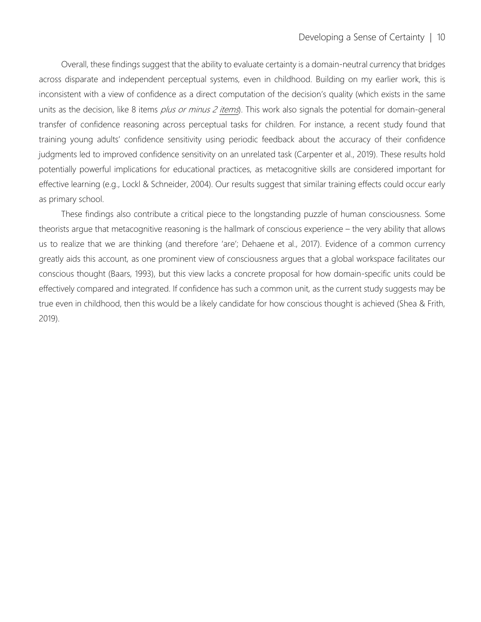Overall, these findings suggest that the ability to evaluate certainty is a domain-neutral currency that bridges across disparate and independent perceptual systems, even in childhood. Building on my earlier work, this is inconsistent with a view of confidence as a direct computation of the decision's quality (which exists in the same units as the decision, like 8 items  $p$ /*us or minus 2 items*). This work also signals the potential for domain-general transfer of confidence reasoning across perceptual tasks for children. For instance, a recent study found that training young adults' confidence sensitivity using periodic feedback about the accuracy of their confidence judgments led to improved confidence sensitivity on an unrelated task (Carpenter et al., 2019). These results hold potentially powerful implications for educational practices, as metacognitive skills are considered important for effective learning (e.g., Lockl & Schneider, 2004). Our results suggest that similar training effects could occur early as primary school.

These findings also contribute a critical piece to the longstanding puzzle of human consciousness. Some theorists argue that metacognitive reasoning is the hallmark of conscious experience – the very ability that allows us to realize that we are thinking (and therefore 'are'; Dehaene et al., 2017). Evidence of a common currency greatly aids this account, as one prominent view of consciousness argues that a global workspace facilitates our conscious thought (Baars, 1993), but this view lacks a concrete proposal for how domain-specific units could be effectively compared and integrated. If confidence has such a common unit, as the current study suggests may be true even in childhood, then this would be a likely candidate for how conscious thought is achieved (Shea & Frith, 2019).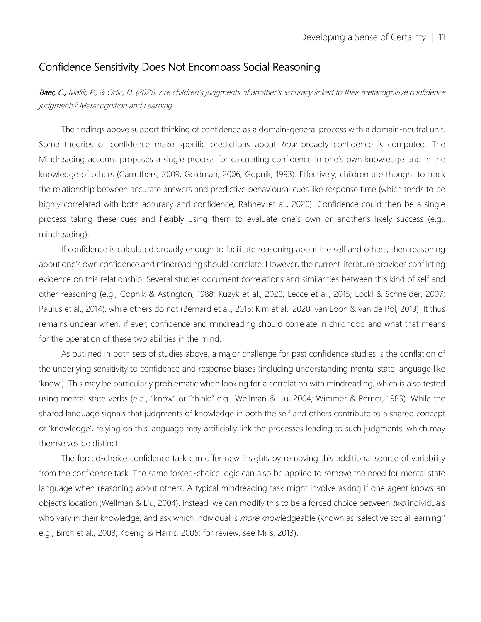## Confidence Sensitivity Does Not Encompass Social Reasoning

Baer, C., Malik, P., & Odic, D. (2021). Are children's judgments of another's accuracy linked to their metacognitive confidence judgments? Metacognition and Learning

The findings above support thinking of confidence as a domain-general process with a domain-neutral unit. Some theories of confidence make specific predictions about *how* broadly confidence is computed. The Mindreading account proposes a single process for calculating confidence in one's own knowledge and in the knowledge of others (Carruthers, 2009; Goldman, 2006; Gopnik, 1993). Effectively, children are thought to track the relationship between accurate answers and predictive behavioural cues like response time (which tends to be highly correlated with both accuracy and confidence, Rahnev et al., 2020). Confidence could then be a single process taking these cues and flexibly using them to evaluate one's own or another's likely success (e.g., mindreading).

If confidence is calculated broadly enough to facilitate reasoning about the self and others, then reasoning about one's own confidence and mindreading should correlate. However, the current literature provides conflicting evidence on this relationship. Several studies document correlations and similarities between this kind of self and other reasoning (e.g., Gopnik & Astington, 1988; Kuzyk et al., 2020; Lecce et al., 2015; Lockl & Schneider, 2007; Paulus et al., 2014), while others do not (Bernard et al., 2015; Kim et al., 2020; van Loon & van de Pol, 2019). It thus remains unclear when, if ever, confidence and mindreading should correlate in childhood and what that means for the operation of these two abilities in the mind.

As outlined in both sets of studies above, a major challenge for past confidence studies is the conflation of the underlying sensitivity to confidence and response biases (including understanding mental state language like 'know'). This may be particularly problematic when looking for a correlation with mindreading, which is also tested using mental state verbs (e.g., "know" or "think;" e.g., Wellman & Liu, 2004; Wimmer & Perner, 1983). While the shared language signals that judgments of knowledge in both the self and others contribute to a shared concept of 'knowledge', relying on this language may artificially link the processes leading to such judgments, which may themselves be distinct.

The forced-choice confidence task can offer new insights by removing this additional source of variability from the confidence task. The same forced-choice logic can also be applied to remove the need for mental state language when reasoning about others. A typical mindreading task might involve asking if one agent knows an object's location (Wellman & Liu, 2004). Instead, we can modify this to be a forced choice between two individuals who vary in their knowledge, and ask which individual is *more* knowledgeable (known as 'selective social learning;' e.g., Birch et al., 2008; Koenig & Harris, 2005; for review, see Mills, 2013).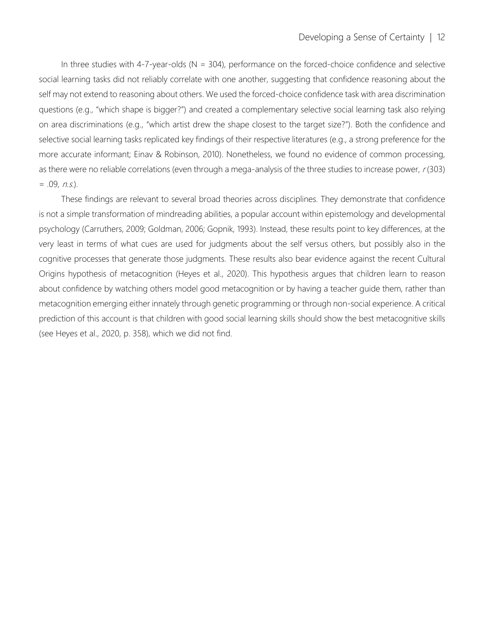In three studies with 4-7-year-olds ( $N = 304$ ), performance on the forced-choice confidence and selective social learning tasks did not reliably correlate with one another, suggesting that confidence reasoning about the self may not extend to reasoning about others. We used the forced-choice confidence task with area discrimination questions (e.g., "which shape is bigger?") and created a complementary selective social learning task also relying on area discriminations (e.g., "which artist drew the shape closest to the target size?"). Both the confidence and selective social learning tasks replicated key findings of their respective literatures (e.g., a strong preference for the more accurate informant; Einav & Robinson, 2010). Nonetheless, we found no evidence of common processing, as there were no reliable correlations (even through a mega-analysis of the three studies to increase power,  $r(303)$  $= .09, n.s.$ ).

These findings are relevant to several broad theories across disciplines. They demonstrate that confidence is not a simple transformation of mindreading abilities, a popular account within epistemology and developmental psychology (Carruthers, 2009; Goldman, 2006; Gopnik, 1993). Instead, these results point to key differences, at the very least in terms of what cues are used for judgments about the self versus others, but possibly also in the cognitive processes that generate those judgments. These results also bear evidence against the recent Cultural Origins hypothesis of metacognition (Heyes et al., 2020). This hypothesis argues that children learn to reason about confidence by watching others model good metacognition or by having a teacher guide them, rather than metacognition emerging either innately through genetic programming or through non-social experience. A critical prediction of this account is that children with good social learning skills should show the best metacognitive skills (see Heyes et al., 2020, p. 358), which we did not find.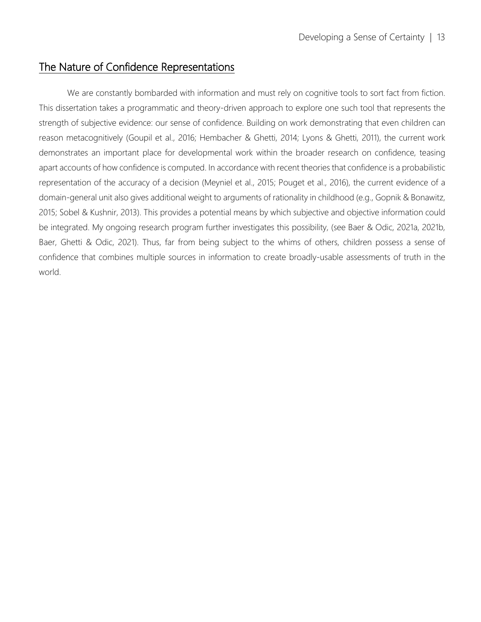## The Nature of Confidence Representations

We are constantly bombarded with information and must rely on cognitive tools to sort fact from fiction. This dissertation takes a programmatic and theory-driven approach to explore one such tool that represents the strength of subjective evidence: our sense of confidence. Building on work demonstrating that even children can reason metacognitively (Goupil et al., 2016; Hembacher & Ghetti, 2014; Lyons & Ghetti, 2011), the current work demonstrates an important place for developmental work within the broader research on confidence, teasing apart accounts of how confidence is computed. In accordance with recent theories that confidence is a probabilistic representation of the accuracy of a decision (Meyniel et al., 2015; Pouget et al., 2016), the current evidence of a domain-general unit also gives additional weight to arguments of rationality in childhood (e.g., Gopnik & Bonawitz, 2015; Sobel & Kushnir, 2013). This provides a potential means by which subjective and objective information could be integrated. My ongoing research program further investigates this possibility, (see Baer & Odic, 2021a, 2021b, Baer, Ghetti & Odic, 2021). Thus, far from being subject to the whims of others, children possess a sense of confidence that combines multiple sources in information to create broadly-usable assessments of truth in the world.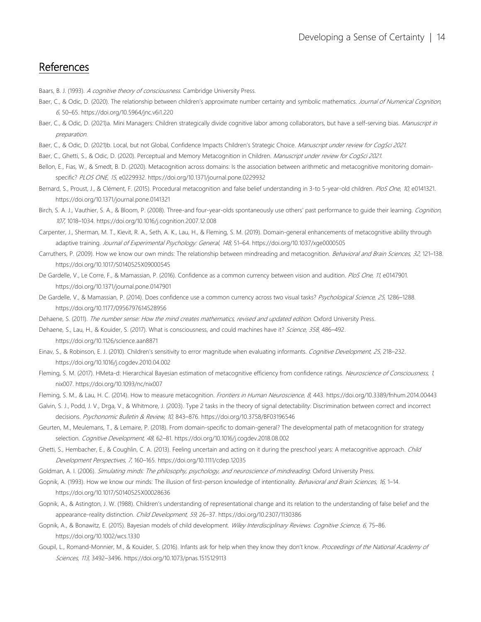# References

Baars, B. J. (1993). A cognitive theory of consciousness. Cambridge University Press.

- Baer, C., & Odic, D. (2020). The relationship between children's approximate number certainty and symbolic mathematics. Journal of Numerical Cognition, 6, 50–65. https://doi.org/10.5964/jnc.v6i1.220
- Baer, C., & Odic, D. (2021)a. Mini Managers: Children strategically divide cognitive labor among collaborators, but have a self-serving bias. Manuscript in preparation.
- Baer, C., & Odic, D. (2021)b. Local, but not Global, Confidence Impacts Children's Strategic Choice. Manuscript under review for CogSci 2021.
- Baer, C., Ghetti, S., & Odic, D. (2020). Perceptual and Memory Metacognition in Children. Manuscript under review for CogSci 2021.
- Bellon, E., Fias, W., & Smedt, B. D. (2020). Metacognition across domains: Is the association between arithmetic and metacognitive monitoring domainspecific? PLOS ONE, 15, e0229932. https://doi.org/10.1371/journal.pone.0229932
- Bernard, S., Proust, J., & Clément, F. (2015). Procedural metacognition and false belief understanding in 3-to 5-year-old children. PloS One, 10, e0141321. https://doi.org/10.1371/journal.pone.0141321
- Birch, S. A. J., Vauthier, S. A., & Bloom, P. (2008). Three-and four-year-olds spontaneously use others' past performance to guide their learning. Cognition, 107, 1018–1034. https://doi.org/10.1016/j.cognition.2007.12.008
- Carpenter, J., Sherman, M. T., Kievit, R. A., Seth, A. K., Lau, H., & Fleming, S. M. (2019). Domain-general enhancements of metacognitive ability through adaptive training. Journal of Experimental Psychology: General, 148, 51-64. https://doi.org/10.1037/xqe0000505
- Carruthers, P. (2009). How we know our own minds: The relationship between mindreading and metacognition. Behavioral and Brain Sciences, 32, 121-138. https://doi.org/10.1017/S0140525X09000545
- De Gardelle, V., Le Corre, F., & Mamassian, P. (2016). Confidence as a common currency between vision and audition. PloS One, 11, e0147901. https://doi.org/10.1371/journal.pone.0147901
- De Gardelle, V., & Mamassian, P. (2014). Does confidence use a common currency across two visual tasks? Psychological Science, 25, 1286-1288. https://doi.org/10.1177/0956797614528956
- Dehaene, S. (2011). The number sense: How the mind creates mathematics, revised and updated edition. Oxford University Press.
- Dehaene, S., Lau, H., & Kouider, S. (2017). What is consciousness, and could machines have it? Science, 358, 486-492. https://doi.org/10.1126/science.aan8871
- Einav, S., & Robinson, E. J. (2010). Children's sensitivity to error magnitude when evaluating informants. Cognitive Development, 25, 218-232. https://doi.org/10.1016/j.cogdev.2010.04.002
- Fleming, S. M. (2017). HMeta-d: Hierarchical Bayesian estimation of metacognitive efficiency from confidence ratings. Neuroscience of Consciousness, 1, nix007. https://doi.org/10.1093/nc/nix007
- Fleming, S. M., & Lau, H. C. (2014). How to measure metacognition. Frontiers in Human Neuroscience, 8, 443. https://doi.org/10.3389/fnhum.2014.00443
- Galvin, S. J., Podd, J. V., Drga, V., & Whitmore, J. (2003). Type 2 tasks in the theory of signal detectability: Discrimination between correct and incorrect decisions. Psychonomic Bulletin & Review, 10, 843–876. https://doi.org/10.3758/BF03196546
- Geurten, M., Meulemans, T., & Lemaire, P. (2018). From domain-specific to domain-general? The developmental path of metacognition for strategy selection. Cognitive Development, 48, 62-81. https://doi.org/10.1016/j.cogdev.2018.08.002
- Ghetti, S., Hembacher, E., & Coughlin, C. A. (2013). Feeling uncertain and acting on it during the preschool years: A metacognitive approach. Child Development Perspectives, 7, 160–165. https://doi.org/10.1111/cdep.12035
- Goldman, A. I. (2006). Simulating minds: The philosophy, psychology, and neuroscience of mindreading. Oxford University Press.
- Gopnik, A. (1993). How we know our minds: The illusion of first-person knowledge of intentionality. Behavioral and Brain Sciences, 16, 1-14. https://doi.org/10.1017/S0140525X00028636
- Gopnik, A., & Astington, J. W. (1988). Children's understanding of representational change and its relation to the understanding of false belief and the appearance-reality distinction. Child Development, 59, 26-37. https://doi.org/10.2307/1130386
- Gopnik, A., & Bonawitz, E. (2015). Bayesian models of child development. Wiley Interdisciplinary Reviews. Cognitive Science, 6, 75-86. https://doi.org/10.1002/wcs.1330
- Goupil, L., Romand-Monnier, M., & Kouider, S. (2016). Infants ask for help when they know they don't know. Proceedings of the National Academy of Sciences, 113, 3492–3496. https://doi.org/10.1073/pnas.1515129113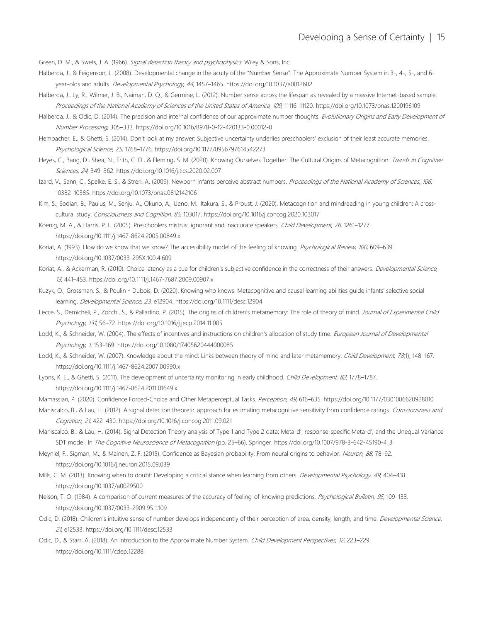Green, D. M., & Swets, J. A. (1966). Signal detection theory and psychophysics. Wiley & Sons, Inc.

- Halberda, J., & Feigenson, L. (2008). Developmental change in the acuity of the "Number Sense": The Approximate Number System in 3-, 4-, 5-, and 6 year-olds and adults. Developmental Psychology, 44, 1457-1465. https://doi.org/10.1037/a0012682
- Halberda, J., Ly, R., Wilmer, J. B., Naiman, D. Q., & Germine, L. (2012). Number sense across the lifespan as revealed by a massive Internet-based sample. Proceedings of the National Academy of Sciences of the United States of America, 109, 11116–11120. https://doi.org/10.1073/pnas.1200196109
- Halberda, J., & Odic, D. (2014). The precision and internal confidence of our approximate number thoughts. Evolutionary Origins and Early Development of Number Processing, 305–333. https://doi.org/10.1016/B978-0-12-420133-0.00012-0
- Hembacher, E., & Ghetti, S. (2014). Don't look at my answer: Subjective uncertainty underlies preschoolers' exclusion of their least accurate memories. Psychological Science, 25, 1768–1776. https://doi.org/10.1177/0956797614542273
- Heyes, C., Bang, D., Shea, N., Frith, C. D., & Fleming, S. M. (2020). Knowing Ourselves Together: The Cultural Origins of Metacognition. Trends in Cognitive Sciences, 24, 349–362. https://doi.org/10.1016/j.tics.2020.02.007
- Izard, V., Sann, C., Spelke, E. S., & Streri, A. (2009). Newborn infants perceive abstract numbers. Proceedings of the National Academy of Sciences, 106, 10382–10385. https://doi.org/10.1073/pnas.0812142106
- Kim, S., Sodian, B., Paulus, M., Senju, A., Okuno, A., Ueno, M., Itakura, S., & Proust, J. (2020). Metacognition and mindreading in young children: A crosscultural study. Consciousness and Cognition, 85, 103017. https://doi.org/10.1016/j.concog.2020.103017
- Koenig, M. A., & Harris, P. L. (2005). Preschoolers mistrust ignorant and inaccurate speakers. Child Development, 76, 1261–1277. https://doi.org/10.1111/j.1467-8624.2005.00849.x
- Koriat, A. (1993). How do we know that we know? The accessibility model of the feeling of knowing. Psychological Review, 100, 609-639. https://doi.org/10.1037/0033-295X.100.4.609
- Koriat, A., & Ackerman, R. (2010). Choice latency as a cue for children's subjective confidence in the correctness of their answers. Developmental Science, 13, 441–453. https://doi.org/10.1111/j.1467-7687.2009.00907.x
- Kuzyk, O., Grossman, S., & Poulin‐Dubois, D. (2020). Knowing who knows: Metacognitive and causal learning abilities guide infants' selective social learning. Developmental Science, 23, e12904. https://doi.org/10.1111/desc.12904
- Lecce, S., Demicheli, P., Zocchi, S., & Palladino, P. (2015). The origins of children's metamemory: The role of theory of mind. Journal of Experimental Child Psychology, 131, 56–72. https://doi.org/10.1016/j.jecp.2014.11.005
- Lockl, K., & Schneider, W. (2004). The effects of incentives and instructions on children's allocation of study time. European Journal of Developmental Psychology, 1, 153–169. https://doi.org/10.1080/17405620444000085
- Lockl, K., & Schneider, W. (2007). Knowledge about the mind: Links between theory of mind and later metamemory. Child Development, 78(1), 148-167. https://doi.org/10.1111/j.1467-8624.2007.00990.x
- Lyons, K. E., & Ghetti, S. (2011). The development of uncertainty monitoring in early childhood. Child Development, 82, 1778-1787. https://doi.org/10.1111/j.1467-8624.2011.01649.x
- Mamassian, P. (2020). Confidence Forced-Choice and Other Metaperceptual Tasks. Perception, 49, 616–635. https://doi.org/10.1177/0301006620928010
- Maniscalco, B., & Lau, H. (2012). A signal detection theoretic approach for estimating metacognitive sensitivity from confidence ratings. Consciousness and Cognition, 21, 422–430. https://doi.org/10.1016/j.concog.2011.09.021
- Maniscalco, B., & Lau, H. (2014). Signal Detection Theory analysis of Type 1 and Type 2 data: Meta-d', response-specific Meta-d', and the Unequal Variance SDT model. In The Cognitive Neuroscience of Metacognition (pp. 25-66). Springer. https://doi.org/10.1007/978-3-642-45190-4\_3
- Meyniel, F., Sigman, M., & Mainen, Z. F. (2015). Confidence as Bayesian probability: From neural origins to behavior. Neuron, 88, 78-92. https://doi.org/10.1016/j.neuron.2015.09.039
- Mills, C. M. (2013). Knowing when to doubt: Developing a critical stance when learning from others. Developmental Psychology, 49, 404-418. https://doi.org/10.1037/a0029500
- Nelson, T. O. (1984). A comparison of current measures of the accuracy of feeling-of-knowing predictions. Psychological Bulletin, 95, 109-133. https://doi.org/10.1037/0033-2909.95.1.109
- Odic, D. (2018). Children's intuitive sense of number develops independently of their perception of area, density, length, and time. Developmental Science, 21, e12533. https://doi.org/10.1111/desc.12533
- Odic, D., & Starr, A. (2018). An introduction to the Approximate Number System. Child Development Perspectives, 12, 223-229. https://doi.org/10.1111/cdep.12288